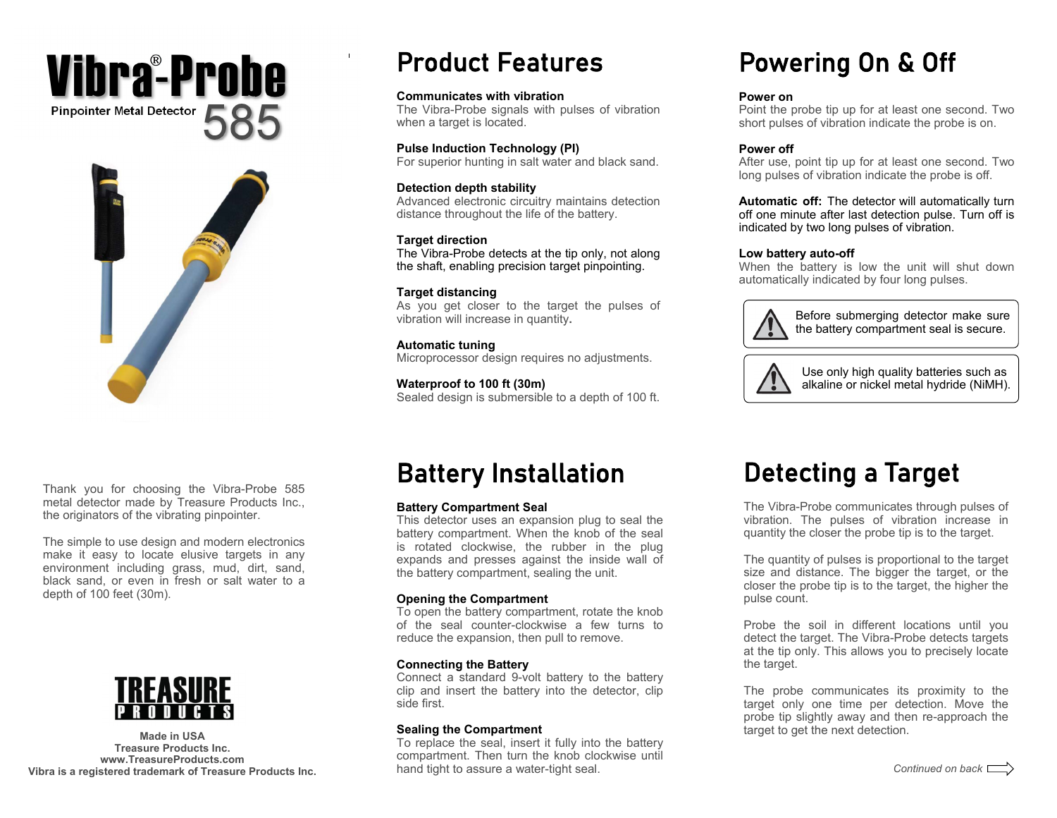## **Pinpointer Metal Detector**  585Vibra -Probe



Thank you for choosing the Vibra-Probe 585 metal detector made by Treasure Products Inc., the originators of the vibrating pinpointer.

The simple to use design and modern electronics make it easy to locate elusive targets in any environment including grass, mud, dirt, sand, black sand, or even in fresh or salt water to a depth of 100 feet (30m).



**Treasure Products Inc. www.TreasureProducts.com Vibra is a registered trademark of Treasure Products Inc.** 

## Product Features

#### **Communicates with vibration**

The Vibra-Probe signals with pulses of vibration when a target is located.

#### **Pulse Induction Technology (PI)**

For superior hunting in salt water and black sand.

#### **Detection depth stability**

Advanced electronic circuitry maintains detection distance throughout the life of the battery.

#### **Target direction**

The Vibra-Probe detects at the tip only, not along the shaft, enabling precision target pinpointing.

#### **Target distancing**

As you get closer to the target the pulses of vibration will increase in quantity**.** 

#### **Automatic tuning**  Microprocessor design requires no adjustments.

**Waterproof to 100 ft (30m)**  Sealed design is submersible to a depth of 100 ft.

# Powering On & Off

#### **Power on**

Point the probe tip up for at least one second. Two short pulses of vibration indicate the probe is on.

### **Power off**

After use, point tip up for at least one second. Two long pulses of vibration indicate the probe is off.

**Automatic off:** The detector will automatically turn off one minute after last detection pulse. Turn off is indicated by two long pulses of vibration.

#### **Low battery auto-off**

When the battery is low the unit will shut down automatically indicated by four long pulses.



Before submerging detector make sure the battery compartment seal is secure.



Use only high quality batteries such as alkaline or nickel metal hydride (NiMH).

# Battery Installation

### **Battery Compartment Seal**

This detector uses an expansion plug to seal the battery compartment. When the knob of the seal is rotated clockwise, the rubber in the plug expands and presses against the inside wall of the battery compartment, sealing the unit.

### **Opening the Compartment**

To open the battery compartment, rotate the knob of the seal counter-clockwise a few turns to reduce the expansion, then pull to remove.

### **Connecting the Battery**

Connect a standard 9-volt battery to the battery clip and insert the battery into the detector, clip side first.

#### **Sealing the Compartment**

To replace the seal, insert it fully into the battery compartment. Then turn the knob clockwise until hand tight to assure a water-tight seal.

# Detecting a Target

The Vibra-Probe communicates through pulses of vibration. The pulses of vibration increase in quantity the closer the probe tip is to the target.

The quantity of pulses is proportional to the target size and distance. The bigger the target, or the closer the probe tip is to the target, the higher the pulse count.

Probe the soil in different locations until you detect the target. The Vibra-Probe detects targets at the tip only. This allows you to precisely locate the target.

The probe communicates its proximity to the target only one time per detection. Move the probe tip slightly away and then re-approach the **Sealing the Compartment Made in USA** *used* to get the next detection.